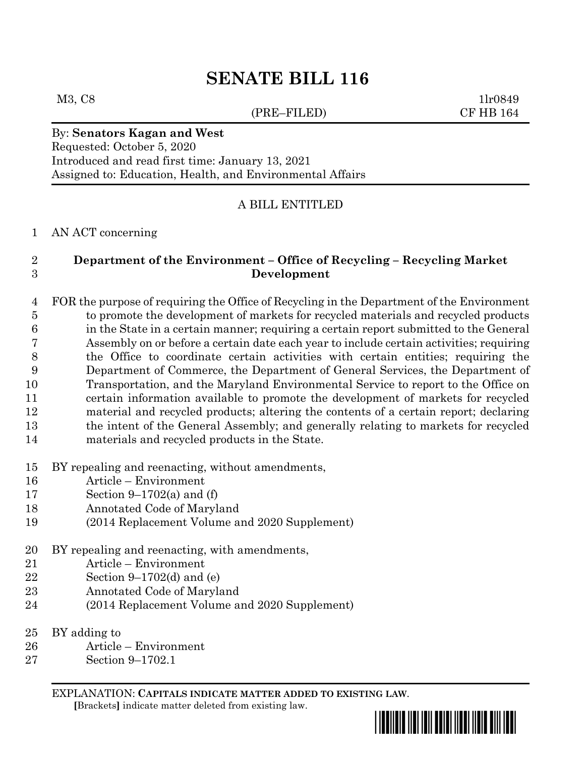# **SENATE BILL 116**

### (PRE–FILED) CF HB 164

M3, C8 1lr0849

# By: **Senators Kagan and West**

Requested: October 5, 2020 Introduced and read first time: January 13, 2021 Assigned to: Education, Health, and Environmental Affairs

## A BILL ENTITLED

#### AN ACT concerning

# **Department of the Environment – Office of Recycling – Recycling Market Development**

 FOR the purpose of requiring the Office of Recycling in the Department of the Environment to promote the development of markets for recycled materials and recycled products in the State in a certain manner; requiring a certain report submitted to the General Assembly on or before a certain date each year to include certain activities; requiring the Office to coordinate certain activities with certain entities; requiring the Department of Commerce, the Department of General Services, the Department of Transportation, and the Maryland Environmental Service to report to the Office on certain information available to promote the development of markets for recycled material and recycled products; altering the contents of a certain report; declaring the intent of the General Assembly; and generally relating to markets for recycled materials and recycled products in the State.

- BY repealing and reenacting, without amendments,
- Article Environment
- Section 9–1702(a) and (f)
- Annotated Code of Maryland
- (2014 Replacement Volume and 2020 Supplement)
- BY repealing and reenacting, with amendments,
- Article Environment
- Section 9–1702(d) and (e)
- Annotated Code of Maryland
- (2014 Replacement Volume and 2020 Supplement)
- BY adding to
- Article Environment
- Section 9–1702.1

EXPLANATION: **CAPITALS INDICATE MATTER ADDED TO EXISTING LAW**.

 **[**Brackets**]** indicate matter deleted from existing law.

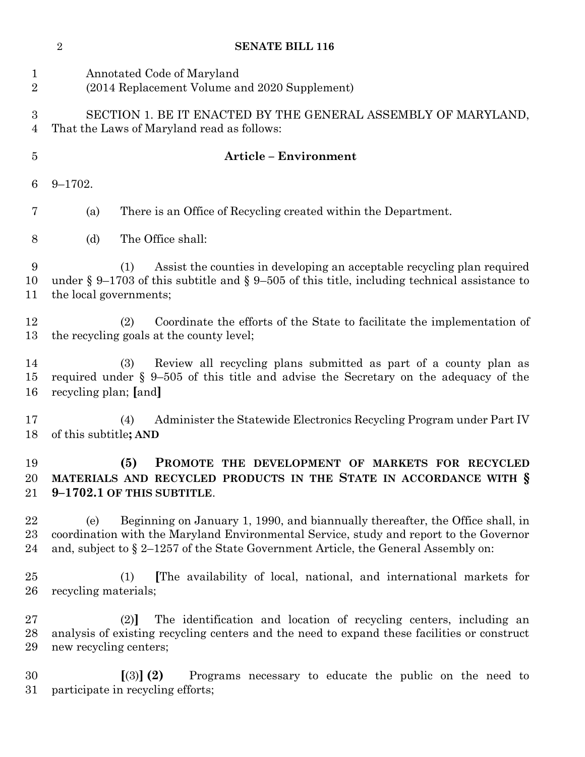|                               | $\overline{2}$         | <b>SENATE BILL 116</b>                                                                                                                                                                                                                                           |
|-------------------------------|------------------------|------------------------------------------------------------------------------------------------------------------------------------------------------------------------------------------------------------------------------------------------------------------|
| $\mathbf 1$<br>$\overline{2}$ |                        | Annotated Code of Maryland<br>(2014 Replacement Volume and 2020 Supplement)                                                                                                                                                                                      |
| 3<br>$\overline{4}$           |                        | SECTION 1. BE IT ENACTED BY THE GENERAL ASSEMBLY OF MARYLAND,<br>That the Laws of Maryland read as follows:                                                                                                                                                      |
| $\overline{5}$                |                        | <b>Article - Environment</b>                                                                                                                                                                                                                                     |
| 6                             | $9 - 1702.$            |                                                                                                                                                                                                                                                                  |
| 7                             | (a)                    | There is an Office of Recycling created within the Department.                                                                                                                                                                                                   |
| 8                             | (d)                    | The Office shall:                                                                                                                                                                                                                                                |
| 9<br>10<br>11                 | the local governments; | Assist the counties in developing an acceptable recycling plan required<br>(1)<br>under § 9–1703 of this subtitle and § 9–505 of this title, including technical assistance to                                                                                   |
| 12<br>13                      |                        | Coordinate the efforts of the State to facilitate the implementation of<br>(2)<br>the recycling goals at the county level;                                                                                                                                       |
| 14<br>15<br>16                | recycling plan; [and]  | Review all recycling plans submitted as part of a county plan as<br>(3)<br>required under $\S 9-505$ of this title and advise the Secretary on the adequacy of the                                                                                               |
| 17<br>18                      | of this subtitle; AND  | Administer the Statewide Electronics Recycling Program under Part IV<br>(4)                                                                                                                                                                                      |
| 19<br>20<br>21                |                        | (5)<br>PROMOTE THE DEVELOPMENT OF MARKETS FOR RECYCLED<br>MATERIALS AND RECYCLED PRODUCTS IN THE STATE IN ACCORDANCE WITH §<br>9-1702.1 OF THIS SUBTITLE.                                                                                                        |
| 22<br>$23\,$<br>24            | (e)                    | Beginning on January 1, 1990, and biannually thereafter, the Office shall, in<br>coordination with the Maryland Environmental Service, study and report to the Governor<br>and, subject to $\S 2-1257$ of the State Government Article, the General Assembly on: |
| 25<br>$26\,$                  | recycling materials;   | The availability of local, national, and international markets for<br>(1)                                                                                                                                                                                        |
| $27\,$<br>28<br>29            | new recycling centers; | The identification and location of recycling centers, including an<br>(2)<br>analysis of existing recycling centers and the need to expand these facilities or construct                                                                                         |
| 30<br>31                      |                        | [3] (2)<br>Programs necessary to educate the public on the need to<br>participate in recycling efforts;                                                                                                                                                          |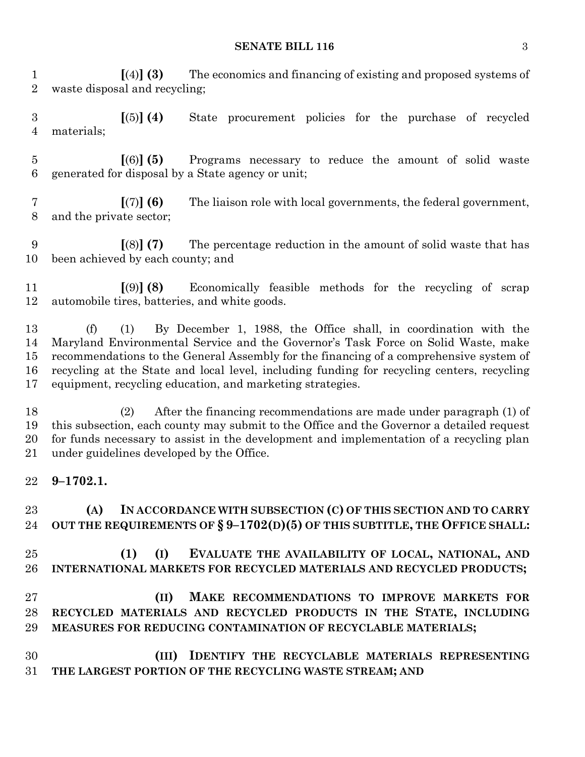#### **SENATE BILL 116** 3

 **[**(4)**] (3)** The economics and financing of existing and proposed systems of waste disposal and recycling;

 **[**(5)**] (4)** State procurement policies for the purchase of recycled materials;

 **[**(6)**] (5)** Programs necessary to reduce the amount of solid waste generated for disposal by a State agency or unit;

 **[**(7)**] (6)** The liaison role with local governments, the federal government, and the private sector;

 **[**(8)**] (7)** The percentage reduction in the amount of solid waste that has been achieved by each county; and

 **[**(9)**] (8)** Economically feasible methods for the recycling of scrap automobile tires, batteries, and white goods.

 (f) (1) By December 1, 1988, the Office shall, in coordination with the Maryland Environmental Service and the Governor's Task Force on Solid Waste, make recommendations to the General Assembly for the financing of a comprehensive system of recycling at the State and local level, including funding for recycling centers, recycling equipment, recycling education, and marketing strategies.

 (2) After the financing recommendations are made under paragraph (1) of this subsection, each county may submit to the Office and the Governor a detailed request for funds necessary to assist in the development and implementation of a recycling plan under guidelines developed by the Office.

**9–1702.1.**

 **(A) IN ACCORDANCE WITH SUBSECTION (C) OF THIS SECTION AND TO CARRY OUT THE REQUIREMENTS OF § 9–1702(D)(5) OF THIS SUBTITLE, THE OFFICE SHALL:**

 **(1) (I) EVALUATE THE AVAILABILITY OF LOCAL, NATIONAL, AND INTERNATIONAL MARKETS FOR RECYCLED MATERIALS AND RECYCLED PRODUCTS;**

 **(II) MAKE RECOMMENDATIONS TO IMPROVE MARKETS FOR RECYCLED MATERIALS AND RECYCLED PRODUCTS IN THE STATE, INCLUDING MEASURES FOR REDUCING CONTAMINATION OF RECYCLABLE MATERIALS;**

 **(III) IDENTIFY THE RECYCLABLE MATERIALS REPRESENTING THE LARGEST PORTION OF THE RECYCLING WASTE STREAM; AND**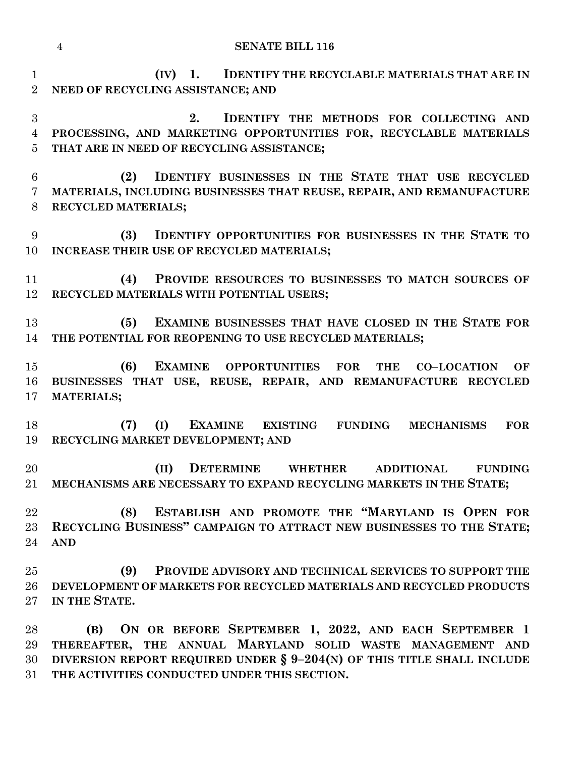|                | <b>SENATE BILL 116</b><br>$\overline{4}$                                                                                                                                |  |
|----------------|-------------------------------------------------------------------------------------------------------------------------------------------------------------------------|--|
| $\mathbf{1}$   | (IV)<br>1. <b>IDENTIFY THE RECYCLABLE MATERIALS THAT ARE IN</b>                                                                                                         |  |
| $\overline{2}$ | NEED OF RECYCLING ASSISTANCE; AND                                                                                                                                       |  |
| 3              | 2.<br>IDENTIFY THE METHODS FOR COLLECTING AND                                                                                                                           |  |
| $\overline{4}$ | PROCESSING, AND MARKETING OPPORTUNITIES FOR, RECYCLABLE MATERIALS                                                                                                       |  |
| 5              | THAT ARE IN NEED OF RECYCLING ASSISTANCE;                                                                                                                               |  |
| 6              | IDENTIFY BUSINESSES IN THE STATE THAT USE RECYCLED<br>(2)                                                                                                               |  |
| 7              | MATERIALS, INCLUDING BUSINESSES THAT REUSE, REPAIR, AND REMANUFACTURE                                                                                                   |  |
| 8              | RECYCLED MATERIALS;                                                                                                                                                     |  |
| 9              | <b>IDENTIFY OPPORTUNITIES FOR BUSINESSES IN THE STATE TO</b><br>(3)                                                                                                     |  |
| 10             | INCREASE THEIR USE OF RECYCLED MATERIALS;                                                                                                                               |  |
|                |                                                                                                                                                                         |  |
| 11             | PROVIDE RESOURCES TO BUSINESSES TO MATCH SOURCES OF<br>(4)                                                                                                              |  |
| 12             | RECYCLED MATERIALS WITH POTENTIAL USERS;                                                                                                                                |  |
| 13             | EXAMINE BUSINESSES THAT HAVE CLOSED IN THE STATE FOR<br>(5)                                                                                                             |  |
| 14             | THE POTENTIAL FOR REOPENING TO USE RECYCLED MATERIALS;                                                                                                                  |  |
|                |                                                                                                                                                                         |  |
| 15<br>16       | (6)<br><b>EXAMINE</b><br><b>OPPORTUNITIES</b><br><b>THE</b><br><b>FOR</b><br><b>CO-LOCATION</b><br>OF<br>BUSINESSES THAT USE, REUSE, REPAIR, AND REMANUFACTURE RECYCLED |  |
| 17             | <b>MATERIALS;</b>                                                                                                                                                       |  |
|                |                                                                                                                                                                         |  |
| 18             | (I)<br>EXAMINE EXISTING FUNDING<br>(7)<br><b>MECHANISMS</b><br><b>FOR</b>                                                                                               |  |
| 19             | RECYCLING MARKET DEVELOPMENT; AND                                                                                                                                       |  |
| 20             | (II)<br><b>DETERMINE</b> WHETHER<br><b>ADDITIONAL</b><br><b>FUNDING</b>                                                                                                 |  |
| $21\,$         | MECHANISMS ARE NECESSARY TO EXPAND RECYCLING MARKETS IN THE STATE;                                                                                                      |  |
|                |                                                                                                                                                                         |  |
| 22             | ESTABLISH AND PROMOTE THE "MARYLAND IS OPEN FOR<br>(8)                                                                                                                  |  |
| $23\,$         | RECYCLING BUSINESS" CAMPAIGN TO ATTRACT NEW BUSINESSES TO THE STATE;                                                                                                    |  |
| 24             | <b>AND</b>                                                                                                                                                              |  |
| 25             | (9)<br>PROVIDE ADVISORY AND TECHNICAL SERVICES TO SUPPORT THE                                                                                                           |  |
| 26             | DEVELOPMENT OF MARKETS FOR RECYCLED MATERIALS AND RECYCLED PRODUCTS                                                                                                     |  |
| $27\,$         | IN THE STATE.                                                                                                                                                           |  |
| 28             | ON OR BEFORE SEPTEMBER 1, 2022, AND EACH SEPTEMBER 1<br>(B)                                                                                                             |  |
| 29             | THEREAFTER, THE ANNUAL MARYLAND SOLID WASTE MANAGEMENT AND                                                                                                              |  |

 **DIVERSION REPORT REQUIRED UNDER § 9–204(N) OF THIS TITLE SHALL INCLUDE THE ACTIVITIES CONDUCTED UNDER THIS SECTION.**

**MATERIALS;**